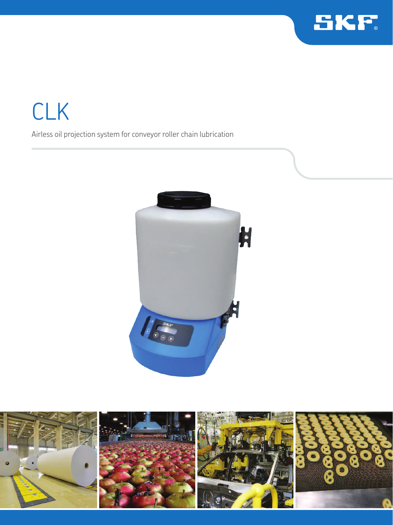

# CLK

Airless oil projection system for conveyor roller chain lubrication



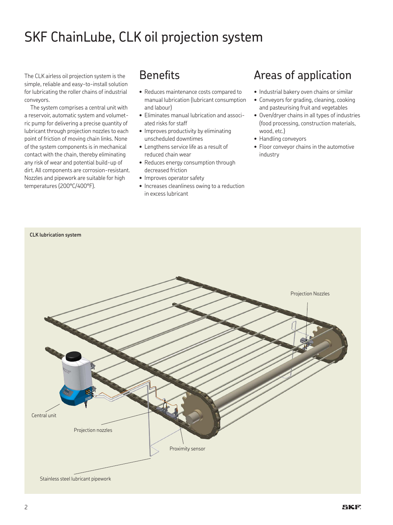### SKF ChainLube, CLK oil projection system

The CLK airless oil projection system is the simple, reliable and easy-to-install solution for lubricating the roller chains of industrial conveyors.

The system comprises a central unit with a reservoir, automatic system and volumetric pump for delivering a precise quantity of lubricant through projection nozzles to each point of friction of moving chain links. None of the system components is in mechanical contact with the chain, thereby eliminating any risk of wear and potential build-up of dirt. All components are corrosion-resistant. Nozzles and pipework are suitable for high temperatures (200°C/400°F).

### Benefits

- Reduces maintenance costs compared to manual lubrication (lubricant consumption and labour)
- Eliminates manual lubrication and associated risks for staff
- Improves productivity by eliminating unscheduled downtimes
- Lengthens service life as a result of reduced chain wear
- Reduces energy consumption through decreased friction
- Improves operator safety
- Increases cleanliness owing to a reduction in excess lubricant

### Areas of application

- Industrial bakery oven chains or similar
- Convevors for grading, cleaning, cooking and pasteurising fruit and vegetables
- Oven/dryer chains in all types of industries (food processing, construction materials, wood, etc.)
- Handling conveyors
- Floor conveyor chains in the automotive industry

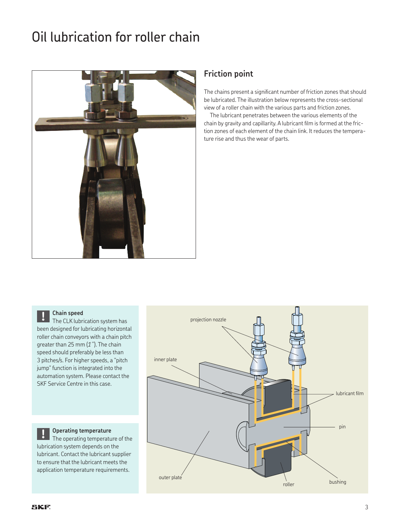## Oil lubrication for roller chain



#### **Friction point**

The chains present a significant number of friction zones that should be lubricated. The illustration below represents the cross-sectional view of a roller chain with the various parts and friction zones.

The lubricant penetrates between the various elements of the chain by gravity and capillarity. A lubricant film is formed at the friction zones of each element of the chain link. It reduces the temperature rise and thus the wear of parts.

#### **Chain speed**

The CLK lubrication system has been designed for lubricating horizontal roller chain conveyors with a chain pitch greater than 25 mm (*1˝*). The chain speed should preferably be less than 3 pitches/s. For higher speeds, a "pitch jump" function is integrated into the automation system. Please contact the SKF Service Centre in this case. **!**

#### **Operating temperature**

The operating temperature of the lubrication system depends on the lubricant. Contact the lubricant supplier to ensure that the lubricant meets the application temperature requirements. **!**

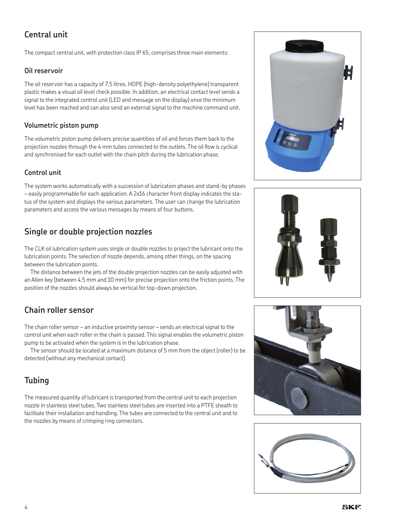### **Central unit**

The compact central unit, with protection class IP 65, comprises three main elements:

#### **Oil reservoir**

The oil reservoir has a capacity of 7.5 litres. HDPE (high-density polyethylene) transparent plastic makes a visual oil level check possible. In addition, an electrical contact level sends a signal to the integrated control unit (LED and message on the display) once the minimum level has been reached and can also send an external signal to the machine command unit.

#### **Volumetric piston pump**

The volumetric piston pump delivers precise quantities of oil and forces them back to the projection nozzles through the 4 mm tubes connected to the outlets. The oil low is cyclical and synchronised for each outlet with the chain pitch during the lubrication phase.

#### **Control unit**

The system works automatically with a succession of lubrication phases and stand-by phases – easily programmable for each application. A 2x16 character front display indicates the status of the system and displays the various parameters. The user can change the lubrication parameters and access the various messages by means of four buttons.

### **Single or double projection nozzles**

The CLK oil lubrication system uses single or double nozzles to project the lubricant onto the lubrication points. The selection of nozzle depends, among other things, on the spacing between the lubrication points.

The distance between the jets of the double projection nozzles can be easily adjusted with an Allen key (between 4.5 mm and 10 mm) for precise projection onto the friction points. The position of the nozzles should always be vertical for top-down projection.

### **Chain roller sensor**

The chain roller sensor – an inductive proximity sensor – sends an electrical signal to the control unit when each roller in the chain is passed. This signal enables the volumetric piston pump to be activated when the system is in the lubrication phase.

The sensor should be located at a maximum distance of 5 mm from the object (roller) to be detected (without any mechanical contact).

### **Tubing**

The measured quantity of lubricant is transported from the central unit to each projection nozzle in stainless steel tubes. Two stainless steel tubes are inserted into a PTFE sheath to facilitate their installation and handling. The tubes are connected to the central unit and to the nozzles by means of crimping ring connectors.







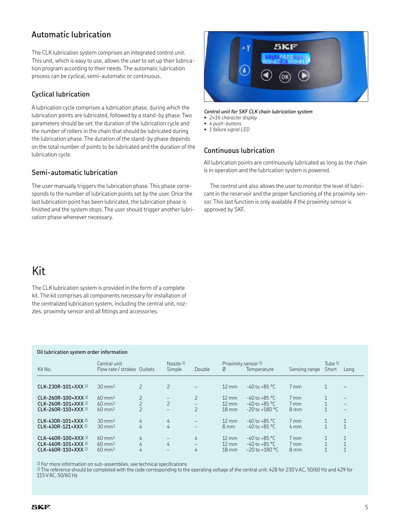#### **Automatic lubrication**

The CLK lubrication system comprises an integrated control unit. This unit, which is easy to use, allows the user to set up their lubrication program according to their needs. The automatic lubrication process can be cyclical, semi-automatic or continuous.

#### **Cyclical lubrication**

A lubrication cycle comprises a lubrication phase, during which the lubrication points are lubricated, followed by a stand-by phase. Two parameters should be set: the duration of the lubrication cycle and the number of rollers in the chain that should be lubricated during the lubrication phase. The duration of the stand-by phase depends on the total number of points to be lubricated and the duration of the lubrication cycle.

#### **Semi-automatic lubrication**

The user manually triggers the lubrication phase. This phase corresponds to the number of lubrication points set by the user. Once the last lubrication point has been lubricated, the lubrication phase is finished and the system stops. The user should trigger another lubrication phase whenever necessary.



#### *Control unit for SKF CLK chain lubrication system*

*• 2×16 character display*

*• 4 push-buttons*

*• 1 failure signal LED*

#### **Continuous lubrication**

All lubrication points are continuously lubricated as long as the chain is in operation and the lubrication system is powered.

The control unit also allows the user to monitor the level of lubricant in the reservoir and the proper functioning of the proximity sensor. This last function is only available if the proximity sensor is approved by SKF.

### Kit

The CLK lubrication system is provided in the form of a complete kit. The kit comprises all components necessary for installation of the centralized lubrication system, including the central unit, nozzles, proximity sensor and all fittings and accessories.

#### **Oil lubrication system order information**

| Kit No.                                                               | Central unit<br>Flow rate / strokes Outlets                 |                | Nozzle $1$<br>Simple                                                 | Double                                          | Proximity sensor 1)<br>Ø                                 | Temperature                                                  | Sensing range                                               | Tube $1$ )<br>Short      | Long                                                                             |
|-----------------------------------------------------------------------|-------------------------------------------------------------|----------------|----------------------------------------------------------------------|-------------------------------------------------|----------------------------------------------------------|--------------------------------------------------------------|-------------------------------------------------------------|--------------------------|----------------------------------------------------------------------------------|
| $CLK-230R-101+XXX 2)$                                                 | $30 \text{ mm}^3$                                           | $\overline{2}$ | 2                                                                    | $\overline{\phantom{0}}$                        | $12 \text{ mm}$                                          | $-40$ to +85 °C                                              | $7 \text{ mm}$                                              | $\mathbf{1}$             | $\overline{\phantom{0}}$                                                         |
| $CLK-260R-100+XXX2$<br>CLK-260R-101+XXX 2)<br>CLK-260R-110+XXX 2)     | $60 \text{ mm}^3$<br>$60 \text{ mm}^3$<br>$60 \text{ mm}^3$ |                | $\overline{\phantom{m}}$<br>$\overline{2}$<br>$\qquad \qquad \qquad$ | 2<br>$\overline{\phantom{0}}$<br>$\overline{2}$ | $12 \text{ mm}$<br>$12 \text{ mm}$<br>$18 \text{ mm}$    | $-40$ to +85 °C<br>$-40$ to $+85$ °C<br>$-20$ to $+180$ °C   | $7 \,\mathrm{mm}$<br>$7 \,\mathrm{mm}$<br>$8 \text{ mm}$    | 1<br>1<br>1              | $\overline{\phantom{0}}$<br>$\overline{\phantom{0}}$<br>$\overline{\phantom{0}}$ |
| CLK-430R-101+XXX 2)<br>$CLK-430R-121+XXX2$                            | $30 \text{ mm}^3$<br>$30 \text{ mm}^3$                      | 4<br>4         | 4<br>4                                                               | $\overline{\phantom{0}}$<br>$\qquad \qquad -$   | $12 \text{ mm}$<br>$8 \text{ mm}$                        | $-40$ to $+85$ °C<br>$-40$ to $+85$ °C                       | $7 \text{ mm}$<br>4mm                                       | 1                        | $\mathbf{1}$<br>$\overline{ }$                                                   |
| $CLK-460R-100+XXX 2)$<br>CLK-460R-101+XXX 2)<br>$CLK-460R-110+XXX 2)$ | $60 \text{ mm}^3$<br>$60 \text{ mm}^3$<br>$60 \text{ mm}^3$ | 4<br>4<br>4    | $\overline{\phantom{0}}$<br>4<br>$\qquad \qquad \qquad$              | 4<br>$\qquad \qquad -$<br>4                     | $12 \text{ mm}$<br>$12 \text{ mm}$<br>$18 \,\mathrm{mm}$ | $-40$ to $+85$ °C<br>$-40$ to $+85$ °C<br>$-20$ to $+180$ °C | $7 \,\mathrm{mm}$<br>$7 \,\mathrm{mm}$<br>$8 \,\mathrm{mm}$ | 1<br>$\overline{1}$<br>1 | $\mathbf 1$<br>$\overline{ }$                                                    |

1) For more information on sub-assemblies, see technical specifications

2) The reference should be completed with the code corresponding to the operating voltage of the central unit: 428 for 230 V AC, 50/60 Hz and 429 for 115 V AC, 50/60 Hz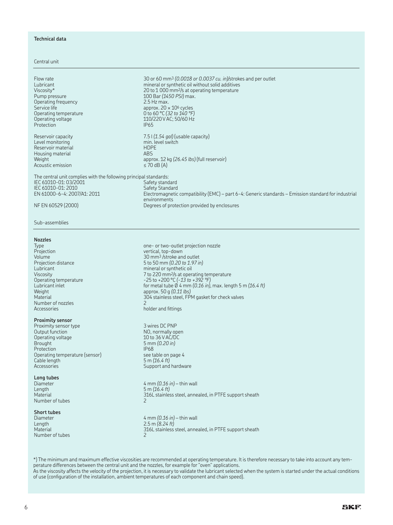#### **Technical data**

#### Central unit

| Flow rate<br>Lubricant<br>Viscosity*<br>Pump pressure<br>Operating frequency<br>Service life<br>Operating temperature<br>Operating voltage<br>Protection | 30 or 60 mm <sup>3</sup> (0.0018 or 0.0037 cu. in)/strokes and per outlet<br>mineral or synthetic oil without solid additives<br>20 to 1 000 mm <sup>2</sup> /s at operating temperature<br>100 Bar (1450 PSI) max.<br>$2.5$ Hz max.<br>approx. $20 \times 10^6$ cycles<br>0 to 60 °C (32 to 140 °F)<br>110/220 V AC; 50/60 Hz<br><b>IP65</b> |  |  |  |  |  |
|----------------------------------------------------------------------------------------------------------------------------------------------------------|-----------------------------------------------------------------------------------------------------------------------------------------------------------------------------------------------------------------------------------------------------------------------------------------------------------------------------------------------|--|--|--|--|--|
| Reservoir capacity                                                                                                                                       | 7.5 $(1.54 \text{ gal})$ (usable capacity)                                                                                                                                                                                                                                                                                                    |  |  |  |  |  |
| Level monitoring                                                                                                                                         | min. level switch                                                                                                                                                                                                                                                                                                                             |  |  |  |  |  |
| Reservoir material                                                                                                                                       | <b>HDPE</b>                                                                                                                                                                                                                                                                                                                                   |  |  |  |  |  |
| Housing material                                                                                                                                         | <b>ABS</b>                                                                                                                                                                                                                                                                                                                                    |  |  |  |  |  |
| Weight                                                                                                                                                   | approx. 12 kg (26.45 lbs) (full reservoir)                                                                                                                                                                                                                                                                                                    |  |  |  |  |  |
| Acoustic emission                                                                                                                                        | $\leq$ 70 dB (A)                                                                                                                                                                                                                                                                                                                              |  |  |  |  |  |
| The central unit complies with the following principal standards:                                                                                        |                                                                                                                                                                                                                                                                                                                                               |  |  |  |  |  |
| IEC 61010-01: 03/2001                                                                                                                                    | Safety standard                                                                                                                                                                                                                                                                                                                               |  |  |  |  |  |
| IEC 61010-01: 2010                                                                                                                                       | <b>Safety Standard</b>                                                                                                                                                                                                                                                                                                                        |  |  |  |  |  |
| EN 61000-6-4: 2007/A1: 2011                                                                                                                              | Electromagnetic compatibility (EMC) – part 6-4: Generic standards – Emission standard for industrial<br>environments                                                                                                                                                                                                                          |  |  |  |  |  |
| NF EN 60529 (2000)                                                                                                                                       | Degrees of protection provided by enclosures                                                                                                                                                                                                                                                                                                  |  |  |  |  |  |

Sub-assemblies

#### **Nozzles**

Projection vertical, top-down vertical, top-down vertical, top-down vertical, top-down vertical, top-down vertical, top-down vertical, top-down vertical, top-down vertical, top-down vertical, top-down vertical, top-down ve Lubricant mineral or synthetic oil Weight approx. 50 g *(0.11 lbs)*<br>Material approx. 50 g *(0.11 lbs)*<br>304 stainless steel, FP Number of nozzles<br>Accessories

#### **Proximity sensor**

Proximity sensor type 3 wires DC PNP 3 wires DC PNP 3 wires DC PNP 3 wires DC PNP 3 wires DC PNP 3 wires DC PNP  $\sim$  NO, normally or Operating voltage<br>Brought Protection<br>
Operating temperature (sensor)<br>
Operating temperature (sensor)<br>
See table on page 4 Operating temperature (sensor) see table on cable length  $\frac{1}{2}$  S m (16.4 ft) Cable length<br>Accessories

### **Long tubes**

Number of tubes 2

**Short tubes** Length 2.5 m *(8.24 ft)*<br>Material 2.5 m *(8.24 ft)*<br>316L stainless Number of tubes

Type one- or two-outlet projection nozzle<br>Projection contracts on the contract of two-outlet projection nozzle Volume<br>Projection distance 30 mm<sup>3</sup>/stroke and outlet<br>5 to 50 mm (0.20 to 1.97 ii Projection distance 5 to 50 mm *(0.20 to 1.97 in)*<br>Lubricant mineral or synthetic oil Viscosity<br>  $\frac{7 \text{ to } 220 \text{ mm}^2\text{/s at operating temperature}}{-25 \text{ to } +200 \text{ °C}}(-13 \text{ to } +392 \text{ °F})$ <br>
Lubricant inlet<br>
Lubricant inlet<br>  $\frac{1}{25}$  for metal tube 0.4 mm (0.16 *in*), max. leng Operating temperature -25 to +200 °C *(-13 to +392 °F)* Lubricant inlet for metal tube Ø 4 mm *(0.16 in)*, max. length 5 m *(16.4 ft)*  $304$  stainless steel, FPM gasket for check valves holder and fittings

> NO, normally open<br>10 to 36 V AC/DC 5 mm (0.20 in)<br>IP68 Support and hardware

Diameter 4 mm *(0.16 in)* – thin wall<br>Length 5 m *(16.4 ft)* 5 m *(16.4 ft)* Material 316L stainless steel, annealed, in PTFE support sheath<br>Number of tubes

Diameter 4 mm *(0.16 in)* – thin wall 316L stainless steel, annealed, in PTFE support sheath<br>2

\*) The minimum and maximum effective viscosities are recommended at operating temperature. It is therefore necessary to take into account any temperature differences between the central unit and the nozzles, for example for "oven" applications. As the viscosity affects the velocity of the projection, it is necessary to validate the lubricant selected when the system is started under the actual conditions of use (coniguration of the installation, ambient temperatures of each component and chain speed).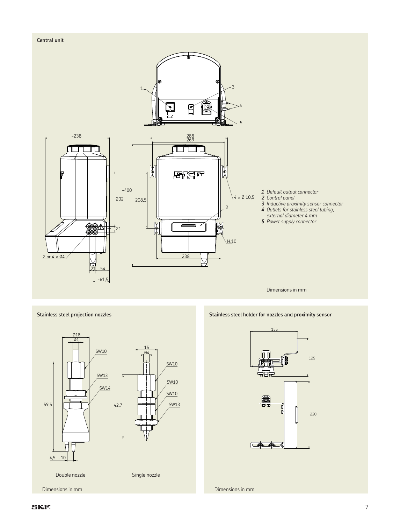#### **Central unit**



#### **Stainless steel projection nozzles**



**Stainless steel holder for nozzles and proximity sensor**